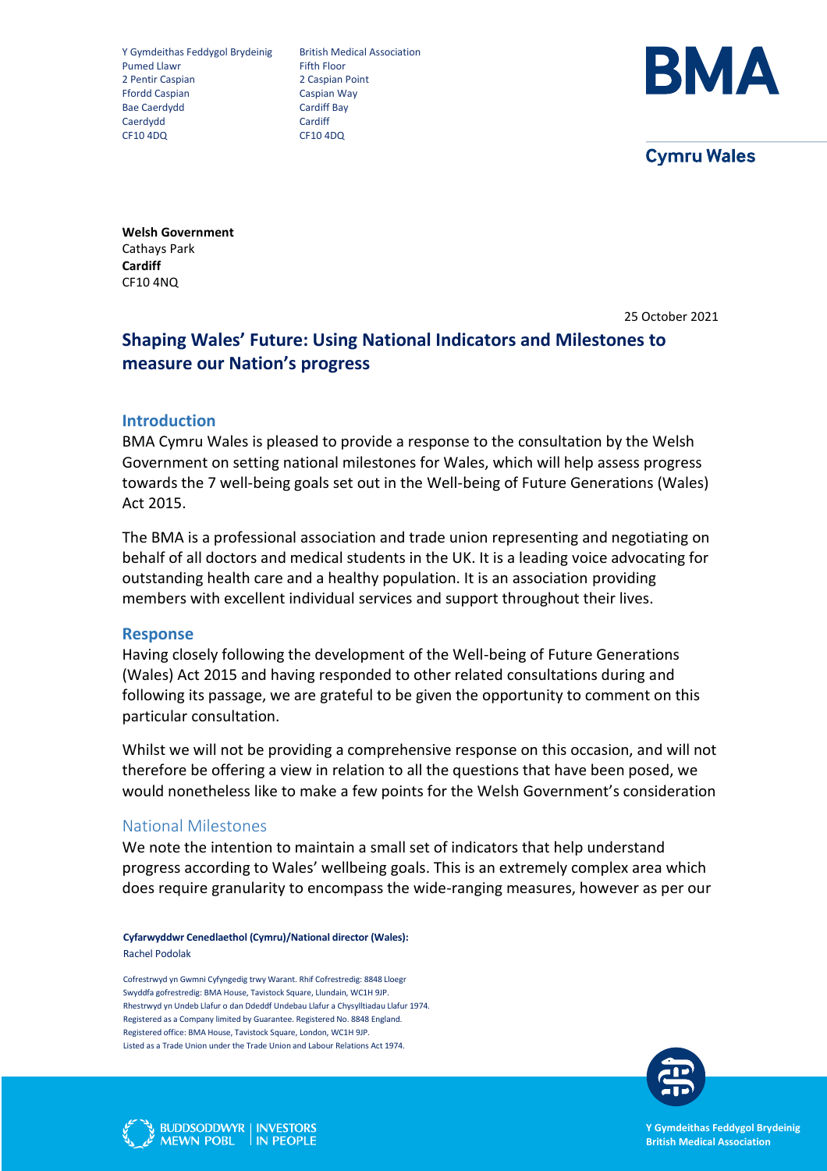Y Gymdeithas Feddygol Brydeinig British Medical Association<br>Pumed Llawr Fifth Floor Pumed Llawr 2 Pentir Caspian 2 Caspian Point Ffordd Caspian Caspian Way Bae Caerdydd<br>Caerdydd Caerdiff Bay<br>Caerdydd Cardiff Caerdydd CF10 4DQ CF10 4DQ



**Cymru Wales** 

**Welsh Government** Cathays Park **Cardiff** CF10 4NQ

25 October 2021

# **Shaping Wales' Future: Using National Indicators and Milestones to measure our Nation's progress**

### **Introduction**

BMA Cymru Wales is pleased to provide a response to the consultation by the Welsh Government on setting national milestones for Wales, which will help assess progress towards the 7 well-being goals set out in the Well-being of Future Generations (Wales) Act 2015.

The BMA is a professional association and trade union representing and negotiating on behalf of all doctors and medical students in the UK. It is a leading voice advocating for outstanding health care and a healthy population. It is an association providing members with excellent individual services and support throughout their lives.

### **Response**

Having closely following the development of the Well-being of Future Generations (Wales) Act 2015 and having responded to other related consultations during and following its passage, we are grateful to be given the opportunity to comment on this particular consultation.

Whilst we will not be providing a comprehensive response on this occasion, and will not therefore be offering a view in relation to all the questions that have been posed, we would nonetheless like to make a few points for the Welsh Government's consideration

## National Milestones

We note the intention to maintain a small set of indicators that help understand progress according to Wales' wellbeing goals. This is an extremely complex area which does require granularity to encompass the wide-ranging measures, however as per our

**Cyfarwyddwr Cenedlaethol (Cymru)/National director (Wales):**  Rachel Podolak

Cofrestrwyd yn Gwmni Cyfyngedig trwy Warant. Rhif Cofrestredig: 8848 Lloegr Swyddfa gofrestredig: BMA House, Tavistock Square, Llundain, WC1H 9JP. Rhestrwyd yn Undeb Llafur o dan Ddeddf Undebau Llafur a Chysylltiadau Llafur 1974. Registered as a Company limited by Guarantee. Registered No. 8848 England. Registered office: BMA House, Tavistock Square, London, WC1H 9JP. Listed as a Trade Union under the Trade Union and Labour Relations Act 1974.





**Y Gymdeithas Feddygol Brydeinig British Medical Association**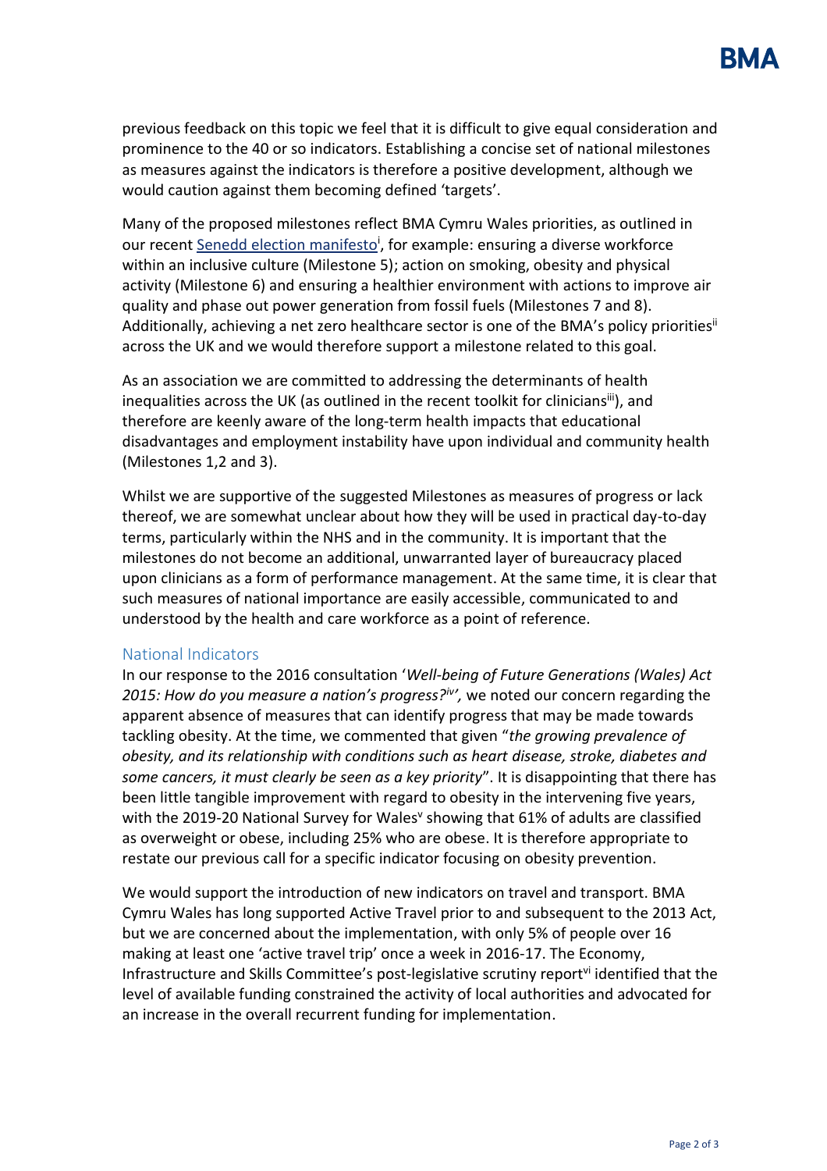previous feedback on this topic we feel that it is difficult to give equal consideration and prominence to the 40 or so indicators. Establishing a concise set of national milestones as measures against the indicators is therefore a positive development, although we would caution against them becoming defined 'targets'.

Many of the proposed milestones reflect BMA Cymru Wales priorities, as outlined in our recent **Senedd election manifesto<sup>i</sup>, for example**: ensuring a diverse workforce within an inclusive culture (Milestone 5); action on smoking, obesity and physical activity (Milestone 6) and ensuring a healthier environment with actions to improve air quality and phase out power generation from fossil fuels (Milestones 7 and 8). Additionally, achieving a net zero healthcare sector is one of the BMA's policy priorities<sup>ii</sup> across the UK and we would therefore support a milestone related to this goal.

As an association we are committed to addressing the determinants of health inequalities across the UK (as outlined in the recent toolkit for clinicians<sup>iii</sup>), and therefore are keenly aware of the long-term health impacts that educational disadvantages and employment instability have upon individual and community health (Milestones 1,2 and 3).

Whilst we are supportive of the suggested Milestones as measures of progress or lack thereof, we are somewhat unclear about how they will be used in practical day-to-day terms, particularly within the NHS and in the community. It is important that the milestones do not become an additional, unwarranted layer of bureaucracy placed upon clinicians as a form of performance management. At the same time, it is clear that such measures of national importance are easily accessible, communicated to and understood by the health and care workforce as a point of reference.

## National Indicators

In our response to the 2016 consultation '*Well-being of Future Generations (Wales) Act 2015: How do you measure a nation's progress?iv ',* we noted our concern regarding the apparent absence of measures that can identify progress that may be made towards tackling obesity. At the time, we commented that given "*the growing prevalence of obesity, and its relationship with conditions such as heart disease, stroke, diabetes and some cancers, it must clearly be seen as a key priority*". It is disappointing that there has been little tangible improvement with regard to obesity in the intervening five years, with the 2019-20 National Survey for Wales' showing that 61% of adults are classified as overweight or obese, including 25% who are obese. It is therefore appropriate to restate our previous call for a specific indicator focusing on obesity prevention.

We would support the introduction of new indicators on travel and transport. BMA Cymru Wales has long supported Active Travel prior to and subsequent to the 2013 Act, but we are concerned about the implementation, with only 5% of people over 16 making at least one 'active travel trip' once a week in 2016-17. The Economy, Infrastructure and Skills Committee's post-legislative scrutiny reportvi identified that the level of available funding constrained the activity of local authorities and advocated for an increase in the overall recurrent funding for implementation.